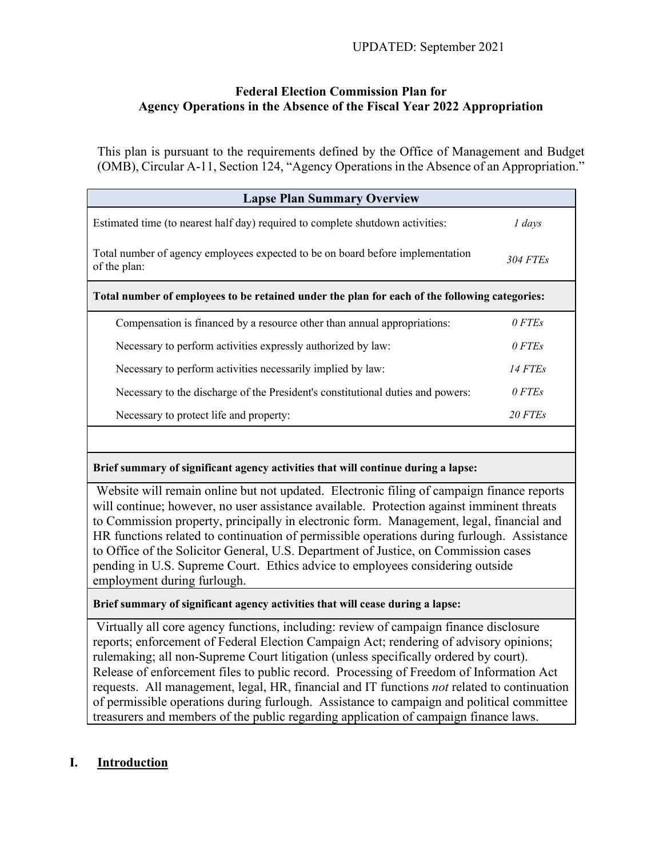# **Federal Election Commission Plan for Agency Operations in the Absence of the Fiscal Year 2022 Appropriation**

This plan is pursuant to the requirements defined by the Office of Management and Budget (OMB), Circular A-11, Section 124, "Agency Operations in the Absence of an Appropriation."

| <b>Lapse Plan Summary Overview</b>                                                             |          |
|------------------------------------------------------------------------------------------------|----------|
| Estimated time (to nearest half day) required to complete shutdown activities:                 | 1 days   |
| Total number of agency employees expected to be on board before implementation<br>of the plan: | 304 FTEs |
| Total number of employees to be retained under the plan for each of the following categories:  |          |
| Compensation is financed by a resource other than annual appropriations:                       | 0 FTEs   |
| Necessary to perform activities expressly authorized by law:                                   | 0 FTEs   |
| Necessary to perform activities necessarily implied by law:                                    | 14 FTEs  |
| Necessary to the discharge of the President's constitutional duties and powers:                | 0 FTEs   |
| Necessary to protect life and property:                                                        | 20 FTEs  |

**Brief summary of significant agency activities that will continue during a lapse:**

Website will remain online but not updated. Electronic filing of campaign finance reports will continue; however, no user assistance available. Protection against imminent threats to Commission property, principally in electronic form. Management, legal, financial and HR functions related to continuation of permissible operations during furlough. Assistance to Office of the Solicitor General, U.S. Department of Justice, on Commission cases pending in U.S. Supreme Court. Ethics advice to employees considering outside employment during furlough.

**Brief summary of significant agency activities that will cease during a lapse:**

Virtually all core agency functions, including: review of campaign finance disclosure reports; enforcement of Federal Election Campaign Act; rendering of advisory opinions; rulemaking; all non-Supreme Court litigation (unless specifically ordered by court). Release of enforcement files to public record. Processing of Freedom of Information Act requests. All management, legal, HR, financial and IT functions *not* related to continuation of permissible operations during furlough. Assistance to campaign and political committee treasurers and members of the public regarding application of campaign finance laws.

# **I. Introduction**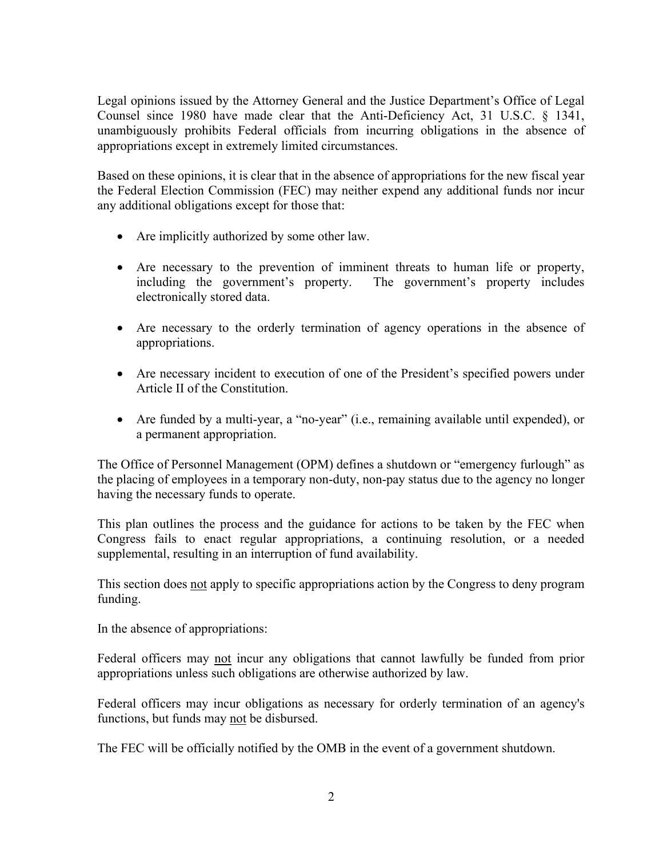Legal opinions issued by the Attorney General and the Justice Department's Office of Legal Counsel since 1980 have made clear that the Anti-Deficiency Act, 31 U.S.C. § 1341, unambiguously prohibits Federal officials from incurring obligations in the absence of appropriations except in extremely limited circumstances.

Based on these opinions, it is clear that in the absence of appropriations for the new fiscal year the Federal Election Commission (FEC) may neither expend any additional funds nor incur any additional obligations except for those that:

- Are implicitly authorized by some other law.
- Are necessary to the prevention of imminent threats to human life or property, including the government's property. The government's property includes electronically stored data.
- Are necessary to the orderly termination of agency operations in the absence of appropriations.
- Are necessary incident to execution of one of the President's specified powers under Article II of the Constitution.
- Are funded by a multi-year, a "no-year" (i.e., remaining available until expended), or a permanent appropriation.

The Office of Personnel Management (OPM) defines a shutdown or "emergency furlough" as the placing of employees in a temporary non-duty, non-pay status due to the agency no longer having the necessary funds to operate.

This plan outlines the process and the guidance for actions to be taken by the FEC when Congress fails to enact regular appropriations, a continuing resolution, or a needed supplemental, resulting in an interruption of fund availability.

This section does not apply to specific appropriations action by the Congress to deny program funding.

In the absence of appropriations:

Federal officers may not incur any obligations that cannot lawfully be funded from prior appropriations unless such obligations are otherwise authorized by law.

Federal officers may incur obligations as necessary for orderly termination of an agency's functions, but funds may not be disbursed.

The FEC will be officially notified by the OMB in the event of a government shutdown.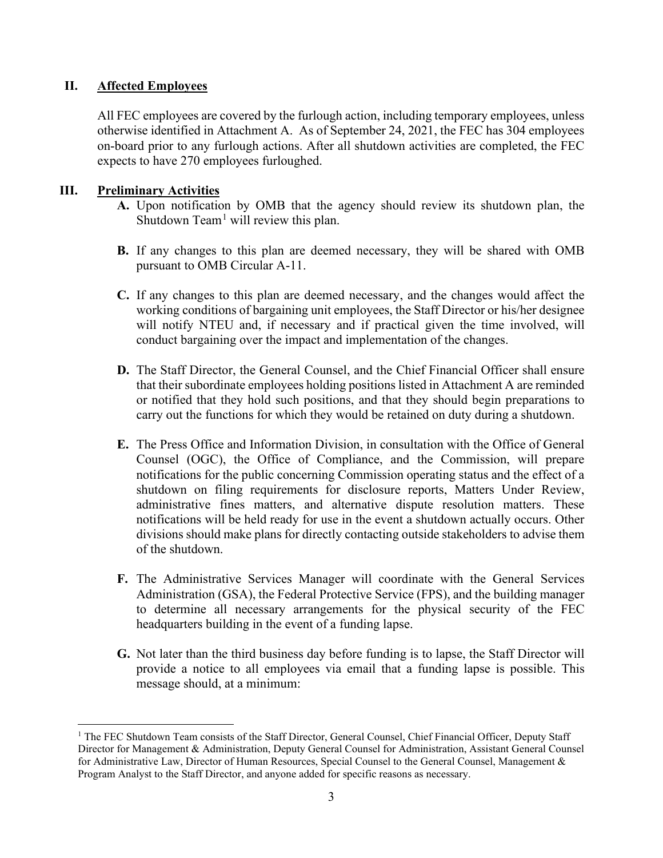## **II. Affected Employees**

All FEC employees are covered by the furlough action, including temporary employees, unless otherwise identified in Attachment A. As of September 24, 2021, the FEC has 304 employees on-board prior to any furlough actions. After all shutdown activities are completed, the FEC expects to have 270 employees furloughed.

## **III. Preliminary Activities**

- **A.** Upon notification by OMB that the agency should review its shutdown plan, the Shutdown  $Team<sup>1</sup>$  $Team<sup>1</sup>$  $Team<sup>1</sup>$  will review this plan.
- **B.** If any changes to this plan are deemed necessary, they will be shared with OMB pursuant to OMB Circular A-11.
- **C.** If any changes to this plan are deemed necessary, and the changes would affect the working conditions of bargaining unit employees, the Staff Director or his/her designee will notify NTEU and, if necessary and if practical given the time involved, will conduct bargaining over the impact and implementation of the changes.
- **D.** The Staff Director, the General Counsel, and the Chief Financial Officer shall ensure that their subordinate employees holding positions listed in Attachment A are reminded or notified that they hold such positions, and that they should begin preparations to carry out the functions for which they would be retained on duty during a shutdown.
- **E.** The Press Office and Information Division, in consultation with the Office of General Counsel (OGC), the Office of Compliance, and the Commission, will prepare notifications for the public concerning Commission operating status and the effect of a shutdown on filing requirements for disclosure reports, Matters Under Review, administrative fines matters, and alternative dispute resolution matters. These notifications will be held ready for use in the event a shutdown actually occurs. Other divisions should make plans for directly contacting outside stakeholders to advise them of the shutdown.
- **F.** The Administrative Services Manager will coordinate with the General Services Administration (GSA), the Federal Protective Service (FPS), and the building manager to determine all necessary arrangements for the physical security of the FEC headquarters building in the event of a funding lapse.
- **G.** Not later than the third business day before funding is to lapse, the Staff Director will provide a notice to all employees via email that a funding lapse is possible. This message should, at a minimum:

<span id="page-2-0"></span><sup>&</sup>lt;sup>1</sup> The FEC Shutdown Team consists of the Staff Director, General Counsel, Chief Financial Officer, Deputy Staff Director for Management & Administration, Deputy General Counsel for Administration, Assistant General Counsel for Administrative Law, Director of Human Resources, Special Counsel to the General Counsel, Management & Program Analyst to the Staff Director, and anyone added for specific reasons as necessary.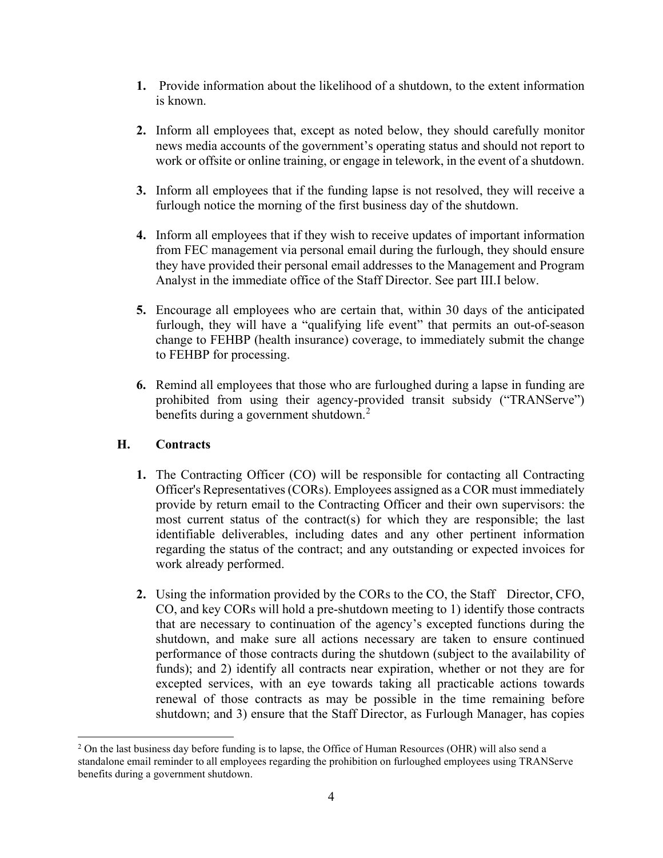- **1.** Provide information about the likelihood of a shutdown, to the extent information is known.
- **2.** Inform all employees that, except as noted below, they should carefully monitor news media accounts of the government's operating status and should not report to work or offsite or online training, or engage in telework, in the event of a shutdown.
- **3.** Inform all employees that if the funding lapse is not resolved, they will receive a furlough notice the morning of the first business day of the shutdown.
- **4.** Inform all employees that if they wish to receive updates of important information from FEC management via personal email during the furlough, they should ensure they have provided their personal email addresses to the Management and Program Analyst in the immediate office of the Staff Director. See part III.I below.
- **5.** Encourage all employees who are certain that, within 30 days of the anticipated furlough, they will have a "qualifying life event" that permits an out-of-season change to FEHBP (health insurance) coverage, to immediately submit the change to FEHBP for processing.
- **6.** Remind all employees that those who are furloughed during a lapse in funding are prohibited from using their agency-provided transit subsidy ("TRANServe") benefits during a government shutdown.<sup>[2](#page-3-0)</sup>

# **H. Contracts**

- **1.** The Contracting Officer (CO) will be responsible for contacting all Contracting Officer's Representatives (CORs). Employees assigned as a COR must immediately provide by return email to the Contracting Officer and their own supervisors: the most current status of the contract(s) for which they are responsible; the last identifiable deliverables, including dates and any other pertinent information regarding the status of the contract; and any outstanding or expected invoices for work already performed.
- **2.** Using the information provided by the CORs to the CO, the Staff Director, CFO, CO, and key CORs will hold a pre-shutdown meeting to 1) identify those contracts that are necessary to continuation of the agency's excepted functions during the shutdown, and make sure all actions necessary are taken to ensure continued performance of those contracts during the shutdown (subject to the availability of funds); and 2) identify all contracts near expiration, whether or not they are for excepted services, with an eye towards taking all practicable actions towards renewal of those contracts as may be possible in the time remaining before shutdown; and 3) ensure that the Staff Director, as Furlough Manager, has copies

<span id="page-3-0"></span> $<sup>2</sup>$  On the last business day before funding is to lapse, the Office of Human Resources (OHR) will also send a</sup> standalone email reminder to all employees regarding the prohibition on furloughed employees using TRANServe benefits during a government shutdown.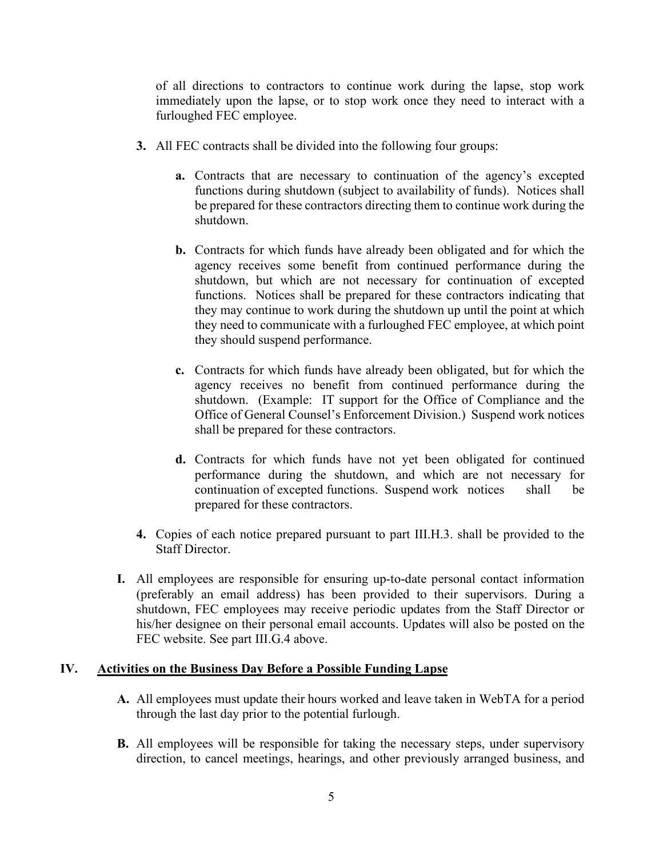of all directions to contractors to continue work during the lapse, stop work immediately upon the lapse, or to stop work once they need to interact with a furloughed FEC employee.

- **3.** All FEC contracts shall be divided into the following four groups:
	- **a.** Contracts that are necessary to continuation of the agency's excepted functions during shutdown (subject to availability of funds). Notices shall be prepared for these contractors directing them to continue work during the shutdown.
	- **b.** Contracts for which funds have already been obligated and for which the agency receives some benefit from continued performance during the shutdown, but which are not necessary for continuation of excepted functions. Notices shall be prepared for these contractors indicating that they may continue to work during the shutdown up until the point at which they need to communicate with a furloughed FEC employee, at which point they should suspend performance.
	- **c.** Contracts for which funds have already been obligated, but for which the agency receives no benefit from continued performance during the shutdown. (Example: IT support for the Office of Compliance and the Office of General Counsel's Enforcement Division.) Suspend work notices shall be prepared for these contractors.
	- **d.** Contracts for which funds have not yet been obligated for continued performance during the shutdown, and which are not necessary for continuation of excepted functions. Suspend work notices shall be prepared for these contractors.
- **4.** Copies of each notice prepared pursuant to part III.H.3. shall be provided to the Staff Director.
- **I.** All employees are responsible for ensuring up-to-date personal contact information (preferably an email address) has been provided to their supervisors. During a shutdown, FEC employees may receive periodic updates from the Staff Director or his/her designee on their personal email accounts. Updates will also be posted on the FEC website. See part III.G.4 above.

### **IV. Activities on the Business Day Before a Possible Funding Lapse**

- **A.** All employees must update their hours worked and leave taken in WebTA for a period through the last day prior to the potential furlough.
- **B.** All employees will be responsible for taking the necessary steps, under supervisory direction, to cancel meetings, hearings, and other previously arranged business, and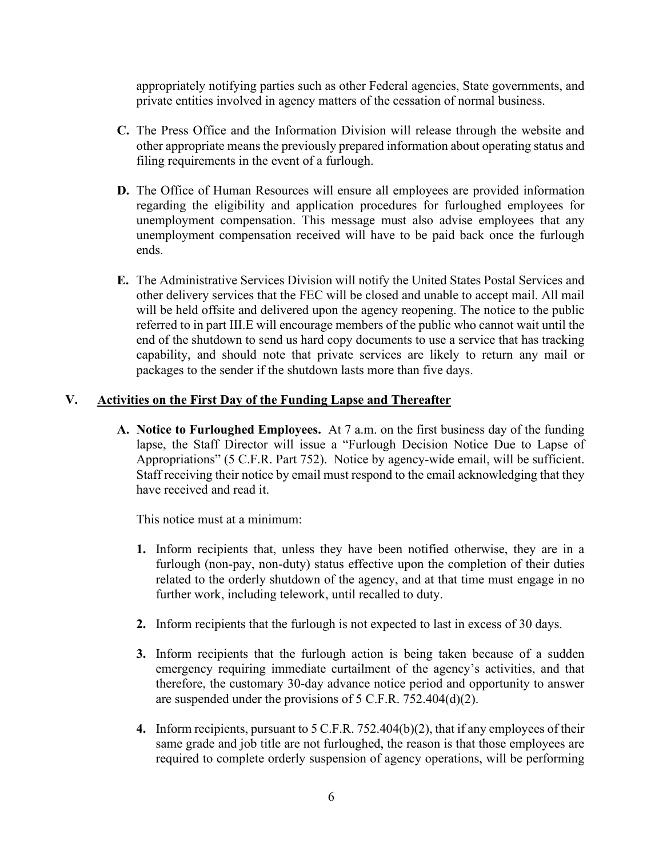appropriately notifying parties such as other Federal agencies, State governments, and private entities involved in agency matters of the cessation of normal business.

- **C.** The Press Office and the Information Division will release through the website and other appropriate means the previously prepared information about operating status and filing requirements in the event of a furlough.
- **D.** The Office of Human Resources will ensure all employees are provided information regarding the eligibility and application procedures for furloughed employees for unemployment compensation. This message must also advise employees that any unemployment compensation received will have to be paid back once the furlough ends.
- **E.** The Administrative Services Division will notify the United States Postal Services and other delivery services that the FEC will be closed and unable to accept mail. All mail will be held offsite and delivered upon the agency reopening. The notice to the public referred to in part III.E will encourage members of the public who cannot wait until the end of the shutdown to send us hard copy documents to use a service that has tracking capability, and should note that private services are likely to return any mail or packages to the sender if the shutdown lasts more than five days.

### **V. Activities on the First Day of the Funding Lapse and Thereafter**

**A. Notice to Furloughed Employees.** At 7 a.m. on the first business day of the funding lapse, the Staff Director will issue a "Furlough Decision Notice Due to Lapse of Appropriations" (5 C.F.R. Part 752). Notice by agency-wide email, will be sufficient. Staff receiving their notice by email must respond to the email acknowledging that they have received and read it.

This notice must at a minimum:

- **1.** Inform recipients that, unless they have been notified otherwise, they are in a furlough (non-pay, non-duty) status effective upon the completion of their duties related to the orderly shutdown of the agency, and at that time must engage in no further work, including telework, until recalled to duty.
- **2.** Inform recipients that the furlough is not expected to last in excess of 30 days.
- **3.** Inform recipients that the furlough action is being taken because of a sudden emergency requiring immediate curtailment of the agency's activities, and that therefore, the customary 30-day advance notice period and opportunity to answer are suspended under the provisions of 5 C.F.R. 752.404(d)(2).
- **4.** Inform recipients, pursuant to 5 C.F.R. 752.404(b)(2), that if any employees of their same grade and job title are not furloughed, the reason is that those employees are required to complete orderly suspension of agency operations, will be performing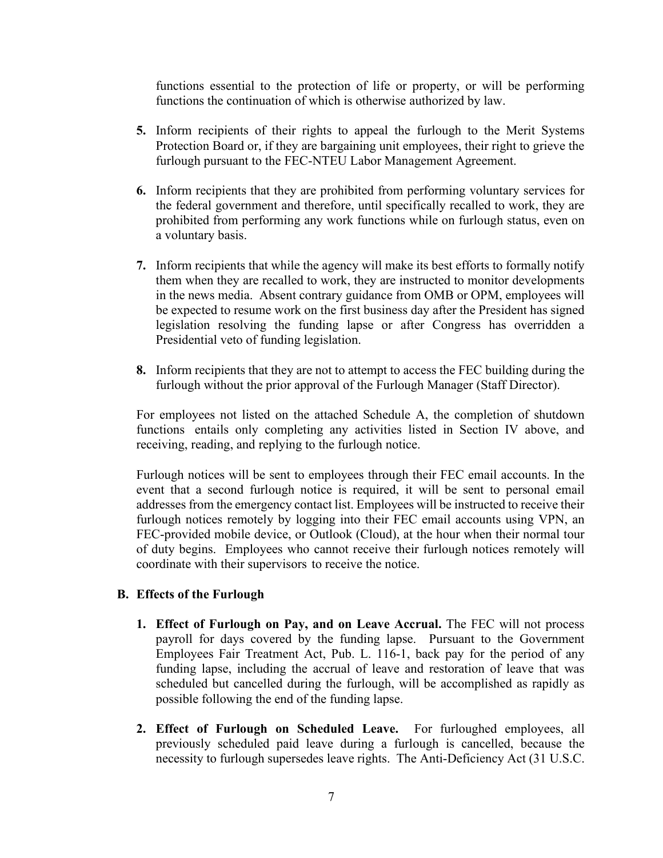functions essential to the protection of life or property, or will be performing functions the continuation of which is otherwise authorized by law.

- **5.** Inform recipients of their rights to appeal the furlough to the Merit Systems Protection Board or, if they are bargaining unit employees, their right to grieve the furlough pursuant to the FEC-NTEU Labor Management Agreement.
- **6.** Inform recipients that they are prohibited from performing voluntary services for the federal government and therefore, until specifically recalled to work, they are prohibited from performing any work functions while on furlough status, even on a voluntary basis.
- **7.** Inform recipients that while the agency will make its best efforts to formally notify them when they are recalled to work, they are instructed to monitor developments in the news media. Absent contrary guidance from OMB or OPM, employees will be expected to resume work on the first business day after the President has signed legislation resolving the funding lapse or after Congress has overridden a Presidential veto of funding legislation.
- **8.** Inform recipients that they are not to attempt to access the FEC building during the furlough without the prior approval of the Furlough Manager (Staff Director).

For employees not listed on the attached Schedule A, the completion of shutdown functions entails only completing any activities listed in Section IV above, and receiving, reading, and replying to the furlough notice.

Furlough notices will be sent to employees through their FEC email accounts. In the event that a second furlough notice is required, it will be sent to personal email addresses from the emergency contact list. Employees will be instructed to receive their furlough notices remotely by logging into their FEC email accounts using VPN, an FEC-provided mobile device, or Outlook (Cloud), at the hour when their normal tour of duty begins. Employees who cannot receive their furlough notices remotely will coordinate with their supervisors to receive the notice.

### **B. Effects of the Furlough**

- **1. Effect of Furlough on Pay, and on Leave Accrual.** The FEC will not process payroll for days covered by the funding lapse. Pursuant to the Government Employees Fair Treatment Act, Pub. L. 116-1, back pay for the period of any funding lapse, including the accrual of leave and restoration of leave that was scheduled but cancelled during the furlough, will be accomplished as rapidly as possible following the end of the funding lapse.
- **2. Effect of Furlough on Scheduled Leave.** For furloughed employees, all previously scheduled paid leave during a furlough is cancelled, because the necessity to furlough supersedes leave rights. The Anti-Deficiency Act (31 U.S.C.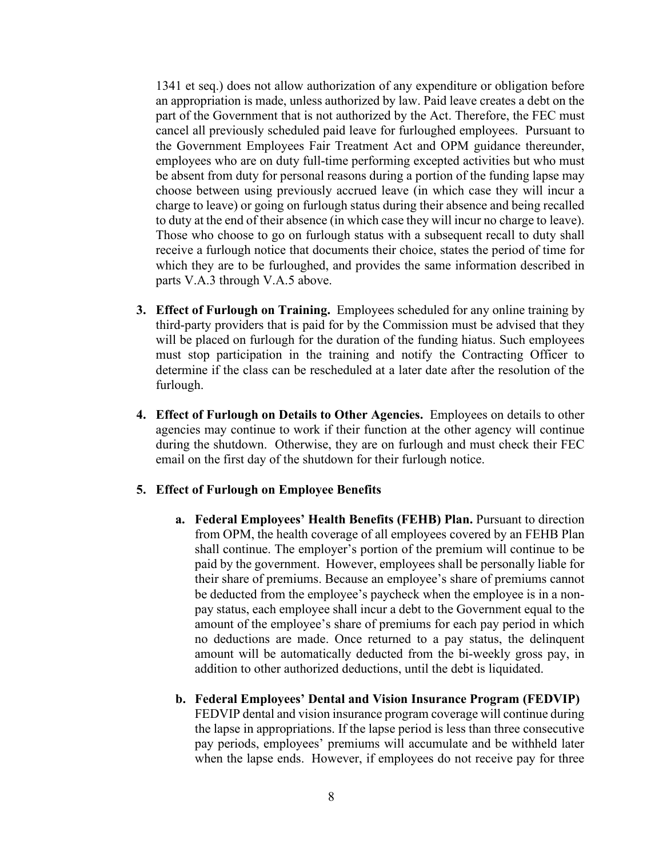1341 et seq.) does not allow authorization of any expenditure or obligation before an appropriation is made, unless authorized by law. Paid leave creates a debt on the part of the Government that is not authorized by the Act. Therefore, the FEC must cancel all previously scheduled paid leave for furloughed employees. Pursuant to the Government Employees Fair Treatment Act and OPM guidance thereunder, employees who are on duty full-time performing excepted activities but who must be absent from duty for personal reasons during a portion of the funding lapse may choose between using previously accrued leave (in which case they will incur a charge to leave) or going on furlough status during their absence and being recalled to duty at the end of their absence (in which case they will incur no charge to leave). Those who choose to go on furlough status with a subsequent recall to duty shall receive a furlough notice that documents their choice, states the period of time for which they are to be furloughed, and provides the same information described in parts V.A.3 through V.A.5 above.

- **3. Effect of Furlough on Training.** Employees scheduled for any online training by third-party providers that is paid for by the Commission must be advised that they will be placed on furlough for the duration of the funding hiatus. Such employees must stop participation in the training and notify the Contracting Officer to determine if the class can be rescheduled at a later date after the resolution of the furlough.
- **4. Effect of Furlough on Details to Other Agencies.** Employees on details to other agencies may continue to work if their function at the other agency will continue during the shutdown. Otherwise, they are on furlough and must check their FEC email on the first day of the shutdown for their furlough notice.

### **5. Effect of Furlough on Employee Benefits**

- **a. Federal Employees' Health Benefits (FEHB) Plan.** Pursuant to direction from OPM, the health coverage of all employees covered by an FEHB Plan shall continue. The employer's portion of the premium will continue to be paid by the government. However, employees shall be personally liable for their share of premiums. Because an employee's share of premiums cannot be deducted from the employee's paycheck when the employee is in a nonpay status, each employee shall incur a debt to the Government equal to the amount of the employee's share of premiums for each pay period in which no deductions are made. Once returned to a pay status, the delinquent amount will be automatically deducted from the bi-weekly gross pay, in addition to other authorized deductions, until the debt is liquidated.
- **b. Federal Employees' Dental and Vision Insurance Program (FEDVIP)** FEDVIP dental and vision insurance program coverage will continue during the lapse in appropriations. If the lapse period is less than three consecutive pay periods, employees' premiums will accumulate and be withheld later when the lapse ends. However, if employees do not receive pay for three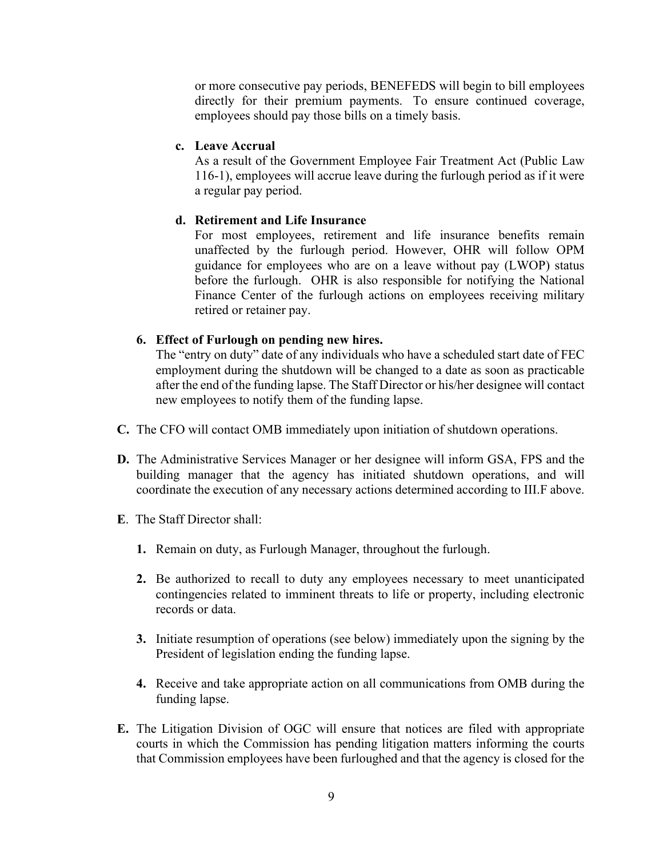or more consecutive pay periods, BENEFEDS will begin to bill employees directly for their premium payments. To ensure continued coverage, employees should pay those bills on a timely basis.

#### **c. Leave Accrual**

As a result of the Government Employee Fair Treatment Act (Public Law 116-1), employees will accrue leave during the furlough period as if it were a regular pay period.

#### **d. Retirement and Life Insurance**

For most employees, retirement and life insurance benefits remain unaffected by the furlough period. However, OHR will follow OPM guidance for employees who are on a leave without pay (LWOP) status before the furlough. OHR is also responsible for notifying the National Finance Center of the furlough actions on employees receiving military retired or retainer pay.

#### **6. Effect of Furlough on pending new hires.**

The "entry on duty" date of any individuals who have a scheduled start date of FEC employment during the shutdown will be changed to a date as soon as practicable after the end of the funding lapse. The Staff Director or his/her designee will contact new employees to notify them of the funding lapse.

- **C.** The CFO will contact OMB immediately upon initiation of shutdown operations.
- **D.** The Administrative Services Manager or her designee will inform GSA, FPS and the building manager that the agency has initiated shutdown operations, and will coordinate the execution of any necessary actions determined according to III.F above.
- **E**. The Staff Director shall:
	- **1.** Remain on duty, as Furlough Manager, throughout the furlough.
	- **2.** Be authorized to recall to duty any employees necessary to meet unanticipated contingencies related to imminent threats to life or property, including electronic records or data.
	- **3.** Initiate resumption of operations (see below) immediately upon the signing by the President of legislation ending the funding lapse.
	- **4.** Receive and take appropriate action on all communications from OMB during the funding lapse.
- **E.** The Litigation Division of OGC will ensure that notices are filed with appropriate courts in which the Commission has pending litigation matters informing the courts that Commission employees have been furloughed and that the agency is closed for the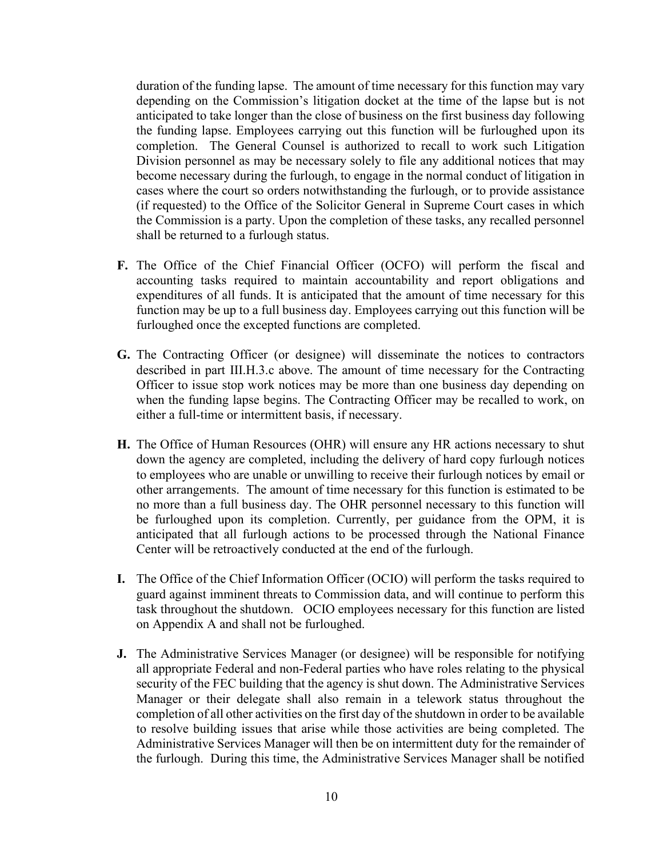duration of the funding lapse. The amount of time necessary for this function may vary depending on the Commission's litigation docket at the time of the lapse but is not anticipated to take longer than the close of business on the first business day following the funding lapse. Employees carrying out this function will be furloughed upon its completion. The General Counsel is authorized to recall to work such Litigation Division personnel as may be necessary solely to file any additional notices that may become necessary during the furlough, to engage in the normal conduct of litigation in cases where the court so orders notwithstanding the furlough, or to provide assistance (if requested) to the Office of the Solicitor General in Supreme Court cases in which the Commission is a party. Upon the completion of these tasks, any recalled personnel shall be returned to a furlough status.

- **F.** The Office of the Chief Financial Officer (OCFO) will perform the fiscal and accounting tasks required to maintain accountability and report obligations and expenditures of all funds. It is anticipated that the amount of time necessary for this function may be up to a full business day. Employees carrying out this function will be furloughed once the excepted functions are completed.
- **G.** The Contracting Officer (or designee) will disseminate the notices to contractors described in part III.H.3.c above. The amount of time necessary for the Contracting Officer to issue stop work notices may be more than one business day depending on when the funding lapse begins. The Contracting Officer may be recalled to work, on either a full-time or intermittent basis, if necessary.
- **H.** The Office of Human Resources (OHR) will ensure any HR actions necessary to shut down the agency are completed, including the delivery of hard copy furlough notices to employees who are unable or unwilling to receive their furlough notices by email or other arrangements. The amount of time necessary for this function is estimated to be no more than a full business day. The OHR personnel necessary to this function will be furloughed upon its completion. Currently, per guidance from the OPM, it is anticipated that all furlough actions to be processed through the National Finance Center will be retroactively conducted at the end of the furlough.
- **I.** The Office of the Chief Information Officer (OCIO) will perform the tasks required to guard against imminent threats to Commission data, and will continue to perform this task throughout the shutdown. OCIO employees necessary for this function are listed on Appendix A and shall not be furloughed.
- **J.** The Administrative Services Manager (or designee) will be responsible for notifying all appropriate Federal and non-Federal parties who have roles relating to the physical security of the FEC building that the agency is shut down. The Administrative Services Manager or their delegate shall also remain in a telework status throughout the completion of all other activities on the first day of the shutdown in order to be available to resolve building issues that arise while those activities are being completed. The Administrative Services Manager will then be on intermittent duty for the remainder of the furlough. During this time, the Administrative Services Manager shall be notified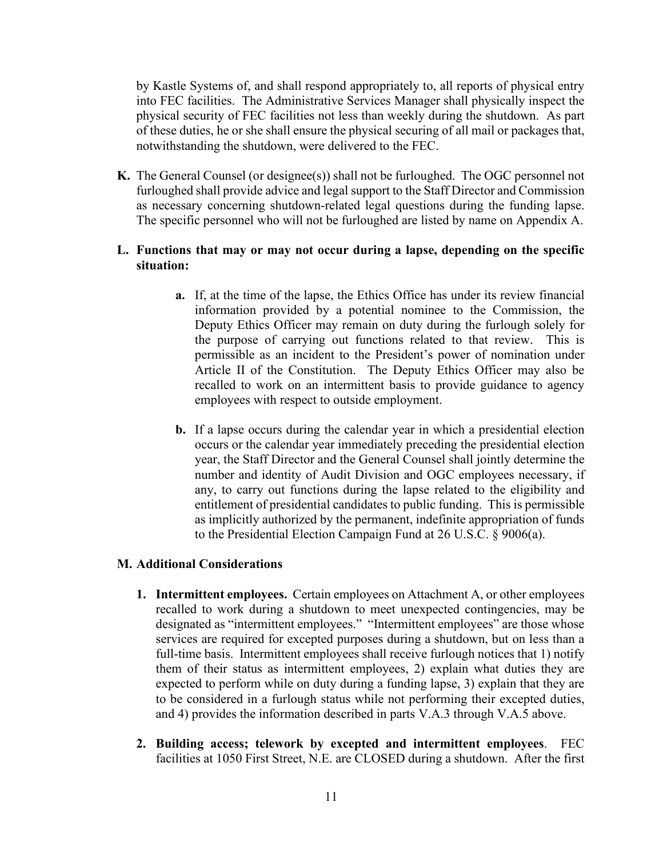by Kastle Systems of, and shall respond appropriately to, all reports of physical entry into FEC facilities. The Administrative Services Manager shall physically inspect the physical security of FEC facilities not less than weekly during the shutdown. As part of these duties, he or she shall ensure the physical securing of all mail or packages that, notwithstanding the shutdown, were delivered to the FEC.

**K.** The General Counsel (or designee(s)) shall not be furloughed. The OGC personnel not furloughed shall provide advice and legal support to the Staff Director and Commission as necessary concerning shutdown-related legal questions during the funding lapse. The specific personnel who will not be furloughed are listed by name on Appendix A.

# **L. Functions that may or may not occur during a lapse, depending on the specific situation:**

- **a.** If, at the time of the lapse, the Ethics Office has under its review financial information provided by a potential nominee to the Commission, the Deputy Ethics Officer may remain on duty during the furlough solely for the purpose of carrying out functions related to that review. This is permissible as an incident to the President's power of nomination under Article II of the Constitution. The Deputy Ethics Officer may also be recalled to work on an intermittent basis to provide guidance to agency employees with respect to outside employment.
- **b.** If a lapse occurs during the calendar year in which a presidential election occurs or the calendar year immediately preceding the presidential election year, the Staff Director and the General Counsel shall jointly determine the number and identity of Audit Division and OGC employees necessary, if any, to carry out functions during the lapse related to the eligibility and entitlement of presidential candidates to public funding. This is permissible as implicitly authorized by the permanent, indefinite appropriation of funds to the Presidential Election Campaign Fund at 26 U.S.C. § 9006(a).

#### **M. Additional Considerations**

- **1. Intermittent employees.** Certain employees on Attachment A, or other employees recalled to work during a shutdown to meet unexpected contingencies, may be designated as "intermittent employees." "Intermittent employees" are those whose services are required for excepted purposes during a shutdown, but on less than a full-time basis. Intermittent employees shall receive furlough notices that 1) notify them of their status as intermittent employees, 2) explain what duties they are expected to perform while on duty during a funding lapse, 3) explain that they are to be considered in a furlough status while not performing their excepted duties, and 4) provides the information described in parts V.A.3 through V.A.5 above.
- **2. Building access; telework by excepted and intermittent employees**. FEC facilities at 1050 First Street, N.E. are CLOSED during a shutdown. After the first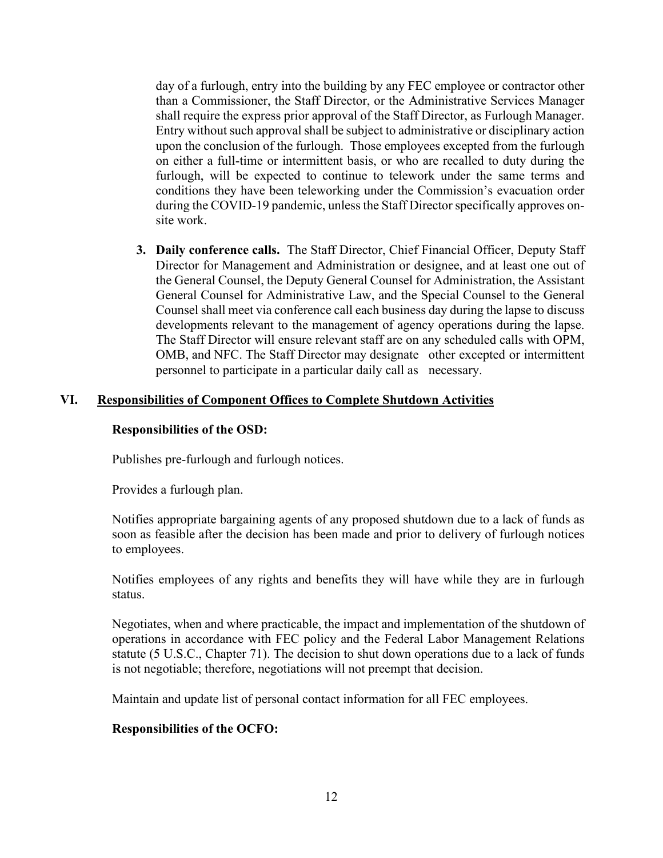day of a furlough, entry into the building by any FEC employee or contractor other than a Commissioner, the Staff Director, or the Administrative Services Manager shall require the express prior approval of the Staff Director, as Furlough Manager. Entry without such approval shall be subject to administrative or disciplinary action upon the conclusion of the furlough. Those employees excepted from the furlough on either a full-time or intermittent basis, or who are recalled to duty during the furlough, will be expected to continue to telework under the same terms and conditions they have been teleworking under the Commission's evacuation order during the COVID-19 pandemic, unless the Staff Director specifically approves onsite work.

**3. Daily conference calls.** The Staff Director, Chief Financial Officer, Deputy Staff Director for Management and Administration or designee, and at least one out of the General Counsel, the Deputy General Counsel for Administration, the Assistant General Counsel for Administrative Law, and the Special Counsel to the General Counsel shall meet via conference call each business day during the lapse to discuss developments relevant to the management of agency operations during the lapse. The Staff Director will ensure relevant staff are on any scheduled calls with OPM, OMB, and NFC. The Staff Director may designate other excepted or intermittent personnel to participate in a particular daily call as necessary.

### **VI. Responsibilities of Component Offices to Complete Shutdown Activities**

#### **Responsibilities of the OSD:**

Publishes pre-furlough and furlough notices.

Provides a furlough plan.

Notifies appropriate bargaining agents of any proposed shutdown due to a lack of funds as soon as feasible after the decision has been made and prior to delivery of furlough notices to employees.

Notifies employees of any rights and benefits they will have while they are in furlough status.

Negotiates, when and where practicable, the impact and implementation of the shutdown of operations in accordance with FEC policy and the Federal Labor Management Relations statute (5 U.S.C., Chapter 71). The decision to shut down operations due to a lack of funds is not negotiable; therefore, negotiations will not preempt that decision.

Maintain and update list of personal contact information for all FEC employees.

### **Responsibilities of the OCFO:**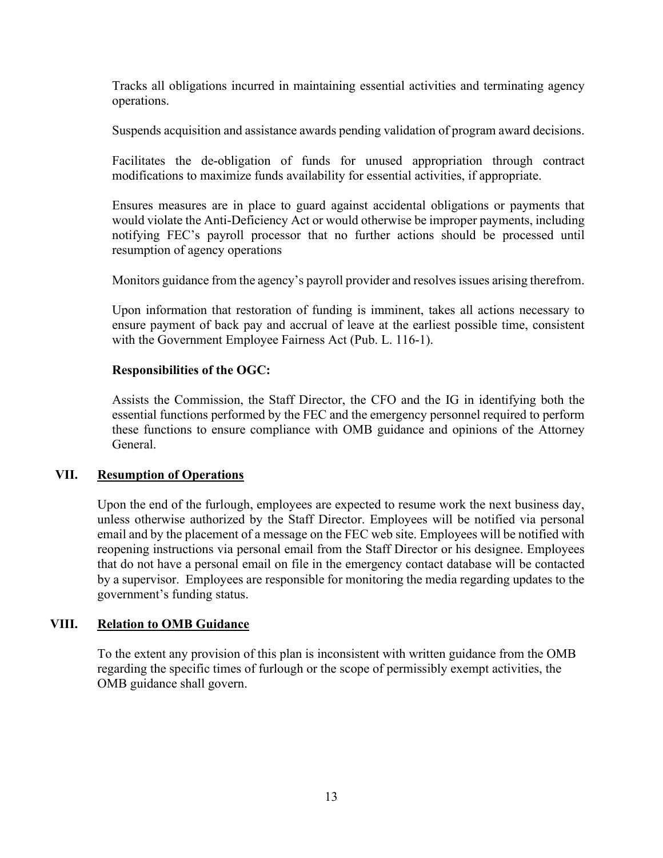Tracks all obligations incurred in maintaining essential activities and terminating agency operations.

Suspends acquisition and assistance awards pending validation of program award decisions.

Facilitates the de-obligation of funds for unused appropriation through contract modifications to maximize funds availability for essential activities, if appropriate.

Ensures measures are in place to guard against accidental obligations or payments that would violate the Anti-Deficiency Act or would otherwise be improper payments, including notifying FEC's payroll processor that no further actions should be processed until resumption of agency operations

Monitors guidance from the agency's payroll provider and resolves issues arising therefrom.

Upon information that restoration of funding is imminent, takes all actions necessary to ensure payment of back pay and accrual of leave at the earliest possible time, consistent with the Government Employee Fairness Act (Pub. L. 116-1).

### **Responsibilities of the OGC:**

Assists the Commission, the Staff Director, the CFO and the IG in identifying both the essential functions performed by the FEC and the emergency personnel required to perform these functions to ensure compliance with OMB guidance and opinions of the Attorney General.

### **VII. Resumption of Operations**

Upon the end of the furlough, employees are expected to resume work the next business day, unless otherwise authorized by the Staff Director. Employees will be notified via personal email and by the placement of a message on the FEC web site. Employees will be notified with reopening instructions via personal email from the Staff Director or his designee. Employees that do not have a personal email on file in the emergency contact database will be contacted by a supervisor. Employees are responsible for monitoring the media regarding updates to the government's funding status.

### **VIII. Relation to OMB Guidance**

To the extent any provision of this plan is inconsistent with written guidance from the OMB regarding the specific times of furlough or the scope of permissibly exempt activities, the OMB guidance shall govern.